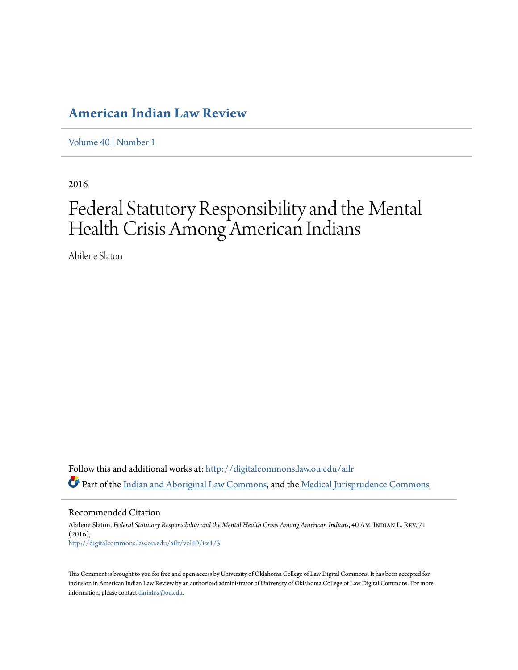# **[American Indian Law Review](http://digitalcommons.law.ou.edu/ailr?utm_source=digitalcommons.law.ou.edu%2Failr%2Fvol40%2Fiss1%2F3&utm_medium=PDF&utm_campaign=PDFCoverPages)**

[Volume 40](http://digitalcommons.law.ou.edu/ailr/vol40?utm_source=digitalcommons.law.ou.edu%2Failr%2Fvol40%2Fiss1%2F3&utm_medium=PDF&utm_campaign=PDFCoverPages) | [Number 1](http://digitalcommons.law.ou.edu/ailr/vol40/iss1?utm_source=digitalcommons.law.ou.edu%2Failr%2Fvol40%2Fiss1%2F3&utm_medium=PDF&utm_campaign=PDFCoverPages)

2016

# Federal Statutory Responsibility and the Mental Health Crisis Among American Indians

Abilene Slaton

Follow this and additional works at: [http://digitalcommons.law.ou.edu/ailr](http://digitalcommons.law.ou.edu/ailr?utm_source=digitalcommons.law.ou.edu%2Failr%2Fvol40%2Fiss1%2F3&utm_medium=PDF&utm_campaign=PDFCoverPages) Part of the [Indian and Aboriginal Law Commons](http://network.bepress.com/hgg/discipline/894?utm_source=digitalcommons.law.ou.edu%2Failr%2Fvol40%2Fiss1%2F3&utm_medium=PDF&utm_campaign=PDFCoverPages), and the [Medical Jurisprudence Commons](http://network.bepress.com/hgg/discipline/860?utm_source=digitalcommons.law.ou.edu%2Failr%2Fvol40%2Fiss1%2F3&utm_medium=PDF&utm_campaign=PDFCoverPages)

Recommended Citation

Abilene Slaton, *Federal Statutory Responsibility and the Mental Health Crisis Among American Indians*, 40 Am. Indian L. Rev. 71 (2016), [http://digitalcommons.law.ou.edu/ailr/vol40/iss1/3](http://digitalcommons.law.ou.edu/ailr/vol40/iss1/3?utm_source=digitalcommons.law.ou.edu%2Failr%2Fvol40%2Fiss1%2F3&utm_medium=PDF&utm_campaign=PDFCoverPages)

This Comment is brought to you for free and open access by University of Oklahoma College of Law Digital Commons. It has been accepted for inclusion in American Indian Law Review by an authorized administrator of University of Oklahoma College of Law Digital Commons. For more information, please contact [darinfox@ou.edu.](mailto:darinfox@ou.edu)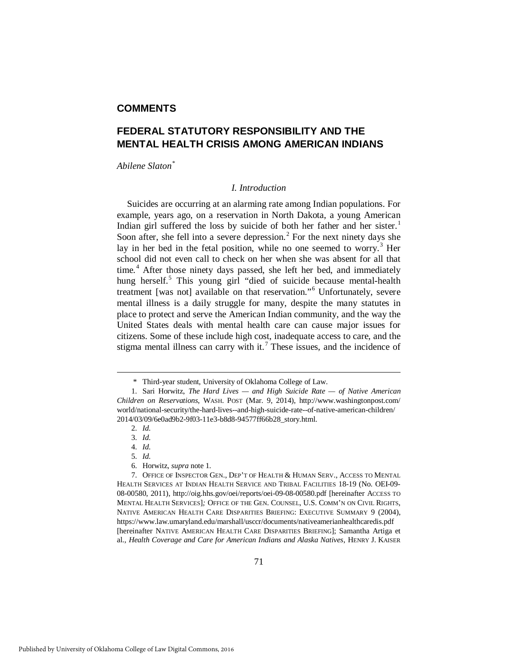### **COMMENTS**

## **FEDERAL STATUTORY RESPONSIBILITY AND THE MENTAL HEALTH CRISIS AMONG AMERICAN INDIANS**

*Abilene Slaton[\\*](#page-1-0)*

#### <span id="page-1-8"></span>*I. Introduction*

Suicides are occurring at an alarming rate among Indian populations. For example, years ago, on a reservation in North Dakota, a young American Indian girl suffered the loss by suicide of both her father and her sister.<sup>[1](#page-1-1)</sup> Soon after, she fell into a severe depression.<sup>[2](#page-1-2)</sup> For the next ninety days she lay in her bed in the fetal position, while no one seemed to worry.<sup>[3](#page-1-3)</sup> Her school did not even call to check on her when she was absent for all that time.<sup>[4](#page-1-4)</sup> After those ninety days passed, she left her bed, and immediately hung herself.<sup>[5](#page-1-5)</sup> This young girl "died of suicide because mental-health treatment [was not] available on that reservation."[6](#page-1-6) Unfortunately, severe mental illness is a daily struggle for many, despite the many statutes in place to protect and serve the American Indian community, and the way the United States deals with mental health care can cause major issues for citizens. Some of these include high cost, inadequate access to care, and the stigma mental illness can carry with it.<sup>[7](#page-1-7)</sup> These issues, and the incidence of

<span id="page-1-9"></span> <sup>\*</sup> Third-year student, University of Oklahoma College of Law.

<span id="page-1-2"></span><span id="page-1-1"></span><span id="page-1-0"></span> <sup>1.</sup> Sari Horwitz, *The Hard Lives — and High Suicide Rate — of Native American Children on Reservations*, WASH. POST (Mar. 9, 2014), http://www.washingtonpost.com/ world/national-security/the-hard-lives--and-high-suicide-rate--of-native-american-children/ 2014/03/09/6e0ad9b2-9f03-11e3-b8d8-94577ff66b28\_story.html.

 <sup>2.</sup> *Id.*

 <sup>3.</sup> *Id.*

 <sup>4.</sup> *Id.*

 <sup>5.</sup> *Id.*

 <sup>6.</sup> Horwitz, *supra* note 1.

<span id="page-1-7"></span><span id="page-1-6"></span><span id="page-1-5"></span><span id="page-1-4"></span><span id="page-1-3"></span> <sup>7.</sup> OFFICE OF INSPECTOR GEN., DEP'T OF HEALTH & HUMAN SERV., ACCESS TO MENTAL HEALTH SERVICES AT INDIAN HEALTH SERVICE AND TRIBAL FACILITIES 18-19 (No. OEI-09- 08-00580, 2011), http://oig.hhs.gov/oei/reports/oei-09-08-00580.pdf [hereinafter ACCESS TO MENTAL HEALTH SERVICES]*;* OFFICE OF THE GEN. COUNSEL, U.S. COMM'N ON CIVIL RIGHTS, NATIVE AMERICAN HEALTH CARE DISPARITIES BRIEFING: EXECUTIVE SUMMARY 9 (2004), https://www.law.umaryland.edu/marshall/usccr/documents/nativeamerianhealthcaredis.pdf [hereinafter NATIVE AMERICAN HEALTH CARE DISPARITIES BRIEFING]; Samantha Artiga et al., *Health Coverage and Care for American Indians and Alaska Natives*, HENRY J. KAISER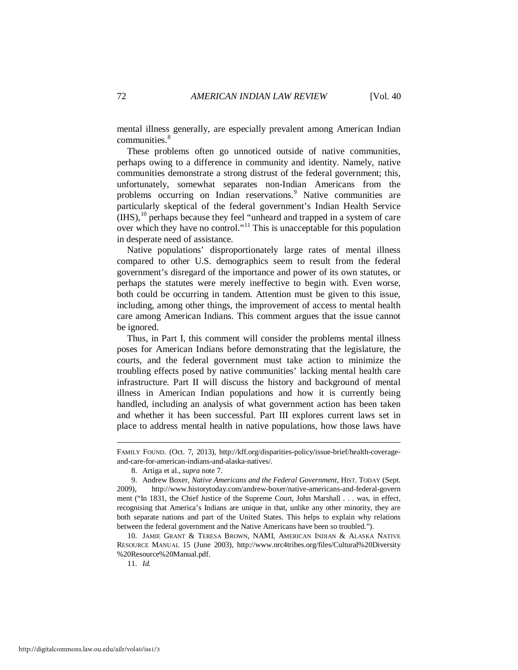mental illness generally, are especially prevalent among American Indian communities.<sup>[8](#page-2-0)</sup>

These problems often go unnoticed outside of native communities, perhaps owing to a difference in community and identity. Namely, native communities demonstrate a strong distrust of the federal government; this, unfortunately, somewhat separates non-Indian Americans from the problems occurring on Indian reservations.<sup>[9](#page-2-1)</sup> Native communities are particularly skeptical of the federal government's Indian Health Service (IHS),[10](#page-2-2) perhaps because they feel "unheard and trapped in a system of care over which they have no control."[11](#page-2-3) This is unacceptable for this population in desperate need of assistance.

<span id="page-2-4"></span>Native populations' disproportionately large rates of mental illness compared to other U.S. demographics seem to result from the federal government's disregard of the importance and power of its own statutes, or perhaps the statutes were merely ineffective to begin with. Even worse, both could be occurring in tandem. Attention must be given to this issue, including, among other things, the improvement of access to mental health care among American Indians. This comment argues that the issue cannot be ignored.

Thus, in Part I, this comment will consider the problems mental illness poses for American Indians before demonstrating that the legislature, the courts, and the federal government must take action to minimize the troubling effects posed by native communities' lacking mental health care infrastructure. Part II will discuss the history and background of mental illness in American Indian populations and how it is currently being handled, including an analysis of what government action has been taken and whether it has been successful. Part III explores current laws set in place to address mental health in native populations, how those laws have

<span id="page-2-3"></span><span id="page-2-2"></span> 10. JAMIE GRANT & TERESA BROWN, NAMI, AMERICAN INDIAN & ALASKA NATIVE RESOURCE MANUAL 15 (June 2003), http://www.nrc4tribes.org/files/Cultural%20Diversity %20Resource%20Manual.pdf.

11. *Id.*

FAMILY FOUND. (Oct. 7, 2013), http://kff.org/disparities-policy/issue-brief/health-coverageand-care-for-american-indians-and-alaska-natives/*.*

 <sup>8.</sup> Artiga et al., *supra* note 7.

<span id="page-2-1"></span><span id="page-2-0"></span> <sup>9.</sup> Andrew Boxer, *Native Americans and the Federal Government*, HIST. TODAY (Sept. 2009), http://www.historytoday.com/andrew-boxer/native-americans-and-federal-govern ment ("In 1831, the Chief Justice of the Supreme Court, John Marshall . . . was, in effect, recognising that America's Indians are unique in that, unlike any other minority, they are both separate nations and part of the United States. This helps to explain why relations between the federal government and the Native Americans have been so troubled.").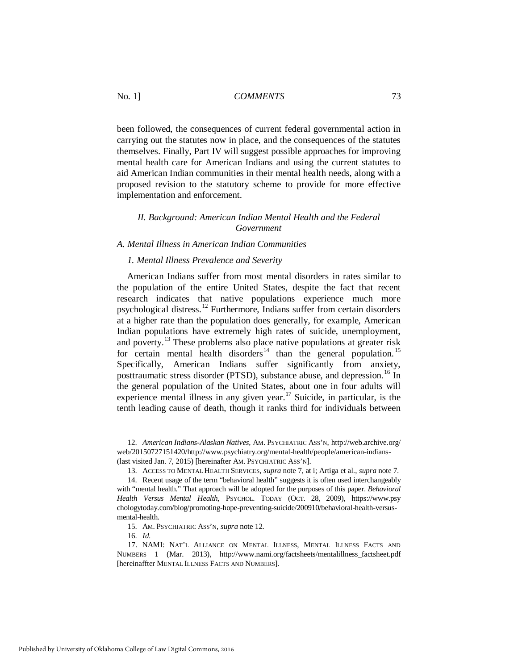been followed, the consequences of current federal governmental action in carrying out the statutes now in place, and the consequences of the statutes themselves. Finally, Part IV will suggest possible approaches for improving mental health care for American Indians and using the current statutes to aid American Indian communities in their mental health needs, along with a proposed revision to the statutory scheme to provide for more effective implementation and enforcement.

#### *II. Background: American Indian Mental Health and the Federal Government*

#### *A. Mental Illness in American Indian Communities*

#### *1. Mental Illness Prevalence and Severity*

American Indians suffer from most mental disorders in rates similar to the population of the entire United States, despite the fact that recent research indicates that native populations experience much more psychological distress.[12](#page-3-0) Furthermore, Indians suffer from certain disorders at a higher rate than the population does generally, for example, American Indian populations have extremely high rates of suicide, unemployment, and poverty.<sup>[13](#page-3-1)</sup> These problems also place native populations at greater risk for certain mental health disorders<sup>[14](#page-3-2)</sup> than the general population.<sup>[15](#page-3-3)</sup> Specifically, American Indians suffer significantly from anxiety, posttraumatic stress disorder (PTSD), substance abuse, and depression.<sup>[16](#page-3-4)</sup> In the general population of the United States, about one in four adults will experience mental illness in any given year.[17](#page-3-5) Suicide, in particular, is the tenth leading cause of death, though it ranks third for individuals between

<span id="page-3-0"></span> <sup>12.</sup> *American Indians-Alaskan Natives*, AM. PSYCHIATRIC ASS'N, http://web.archive.org/ web/20150727151420/http://www.psychiatry.org/mental-health/people/american-indians- (last visited Jan. 7, 2015) [hereinafter AM. PSYCHIATRIC ASS'N].

 <sup>13.</sup> ACCESS TO MENTAL HEALTH SERVICES, *supra* note 7, at i; Artiga et al., *supra* note 7.

<span id="page-3-2"></span><span id="page-3-1"></span> <sup>14.</sup> Recent usage of the term "behavioral health" suggests it is often used interchangeably with "mental health." That approach will be adopted for the purposes of this paper. *Behavioral Health Versus Mental Health*, PSYCHOL. TODAY (OCT. 28, 2009), https://www.psy chologytoday.com/blog/promoting-hope-preventing-suicide/200910/behavioral-health-versusmental-health.

 <sup>15.</sup> AM. PSYCHIATRIC ASS'N, *supra* note 12.

 <sup>16.</sup> *Id.*

<span id="page-3-5"></span><span id="page-3-4"></span><span id="page-3-3"></span> <sup>17.</sup> NAMI: NAT'L ALLIANCE ON MENTAL ILLNESS, MENTAL ILLNESS FACTS AND NUMBERS 1 (Mar. 2013), http://www.nami.org/factsheets/mentalillness\_factsheet.pdf [hereinaffter MENTAL ILLNESS FACTS AND NUMBERS].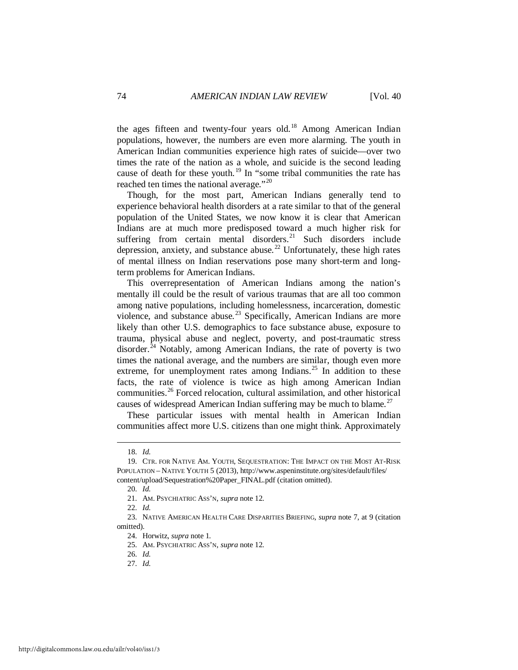the ages fifteen and twenty-four years old.<sup>[18](#page-4-0)</sup> Among American Indian populations, however, the numbers are even more alarming. The youth in American Indian communities experience high rates of suicide—over two times the rate of the nation as a whole, and suicide is the second leading cause of death for these youth.<sup>[19](#page-4-1)</sup> In "some tribal communities the rate has reached ten times the national average."[20](#page-4-2)

Though, for the most part, American Indians generally tend to experience behavioral health disorders at a rate similar to that of the general population of the United States, we now know it is clear that American Indians are at much more predisposed toward a much higher risk for suffering from certain mental disorders.<sup>[21](#page-4-3)</sup> Such disorders include depression, anxiety, and substance abuse. [22](#page-4-4) Unfortunately, these high rates of mental illness on Indian reservations pose many short-term and longterm problems for American Indians.

This overrepresentation of American Indians among the nation's mentally ill could be the result of various traumas that are all too common among native populations, including homelessness, incarceration, domestic violence, and substance abuse.<sup>[23](#page-4-5)</sup> Specifically, American Indians are more likely than other U.S. demographics to face substance abuse, exposure to trauma, physical abuse and neglect, poverty, and post-traumatic stress disorder. $^{24}$  $^{24}$  $^{24}$  Notably, among American Indians, the rate of poverty is two times the national average, and the numbers are similar, though even more extreme, for unemployment rates among Indians.<sup>[25](#page-4-7)</sup> In addition to these facts, the rate of violence is twice as high among American Indian communities.[26](#page-4-8) Forced relocation, cultural assimilation, and other historical causes of widespread American Indian suffering may be much to blame.<sup>[27](#page-4-9)</sup>

These particular issues with mental health in American Indian communities affect more U.S. citizens than one might think. Approximately

<u>.</u>

27. *Id.*

 <sup>18.</sup> *Id.*

<span id="page-4-2"></span><span id="page-4-1"></span><span id="page-4-0"></span> <sup>19.</sup> CTR. FOR NATIVE AM. YOUTH, SEQUESTRATION: THE IMPACT ON THE MOST AT-RISK POPULATION – NATIVE YOUTH 5 (2013), http://www.aspeninstitute.org/sites/default/files/ content/upload/Sequestration%20Paper\_FINAL.pdf (citation omitted).

 <sup>20.</sup> *Id.*

 <sup>21.</sup> AM. PSYCHIATRIC ASS'N, *supra* note 12.

 <sup>22.</sup> *Id.*

<span id="page-4-9"></span><span id="page-4-8"></span><span id="page-4-7"></span><span id="page-4-6"></span><span id="page-4-5"></span><span id="page-4-4"></span><span id="page-4-3"></span> <sup>23.</sup> NATIVE AMERICAN HEALTH CARE DISPARITIES BRIEFING*, supra* note 7, at 9 (citation omitted).

 <sup>24.</sup> Horwitz, *supra* note [1](#page-1-8)*.*

 <sup>25.</sup> AM. PSYCHIATRIC ASS'N, *supra* note 12.

 <sup>26.</sup> *Id.*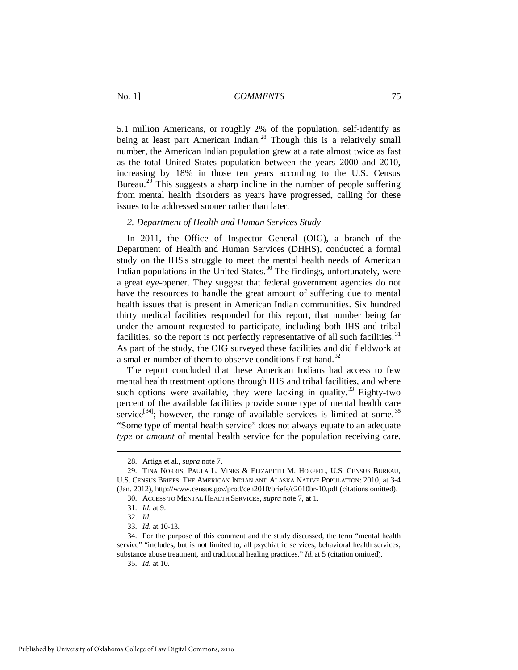5.1 million Americans, or roughly 2% of the population, self-identify as being at least part American Indian.<sup>[28](#page-5-0)</sup> Though this is a relatively small number, the American Indian population grew at a rate almost twice as fast as the total United States population between the years 2000 and 2010, increasing by 18% in those ten years according to the U.S. Census Bureau.<sup>[29](#page-5-1)</sup> This suggests a sharp incline in the number of people suffering from mental health disorders as years have progressed, calling for these issues to be addressed sooner rather than later.

#### *2. Department of Health and Human Services Study*

In 2011, the Office of Inspector General (OIG), a branch of the Department of Health and Human Services (DHHS), conducted a formal study on the IHS's struggle to meet the mental health needs of American Indian populations in the United States.<sup>[30](#page-5-2)</sup> The findings, unfortunately, were a great eye-opener. They suggest that federal government agencies do not have the resources to handle the great amount of suffering due to mental health issues that is present in American Indian communities. Six hundred thirty medical facilities responded for this report, that number being far under the amount requested to participate, including both IHS and tribal facilities, so the report is not perfectly representative of all such facilities.<sup>[31](#page-5-3)</sup> As part of the study, the OIG surveyed these facilities and did fieldwork at a smaller number of them to observe conditions first hand.<sup>[32](#page-5-4)</sup>

The report concluded that these American Indians had access to few mental health treatment options through IHS and tribal facilities, and where such options were available, they were lacking in quality.<sup>[33](#page-5-5)</sup> Eighty-two percent of the available facilities provide some type of mental health care service<sup>[[34](#page-5-6)]</sup>; however, the range of available services is limited at some.<sup>[35](#page-5-7)</sup> "Some type of mental health service" does not always equate to an adequate *type* or *amount* of mental health service for the population receiving care.

 <sup>28.</sup> Artiga et al., *supra* note 7.

<span id="page-5-2"></span><span id="page-5-1"></span><span id="page-5-0"></span> <sup>29.</sup> TINA NORRIS, PAULA L. VINES & ELIZABETH M. HOEFFEL, U.S. CENSUS BUREAU, U.S. CENSUS BRIEFS: THE AMERICAN INDIAN AND ALASKA NATIVE POPULATION: 2010, at 3-4 (Jan. 2012), http://www.census.gov/prod/cen2010/briefs/c2010br-10.pdf (citations omitted).

 <sup>30.</sup> ACCESS TO MENTAL HEALTH SERVICES, *supra* not[e 7,](#page-1-9) at 1.

 <sup>31.</sup> *Id.* at 9.

 <sup>32.</sup> *Id.*

 <sup>33.</sup> *Id.* at 10-13.

<span id="page-5-7"></span><span id="page-5-6"></span><span id="page-5-5"></span><span id="page-5-4"></span><span id="page-5-3"></span> <sup>34.</sup> For the purpose of this comment and the study discussed, the term "mental health service" "includes, but is not limited to, all psychiatric services, behavioral health services, substance abuse treatment, and traditional healing practices." *Id.* at 5 (citation omitted).

 <sup>35.</sup> *Id.* at 10.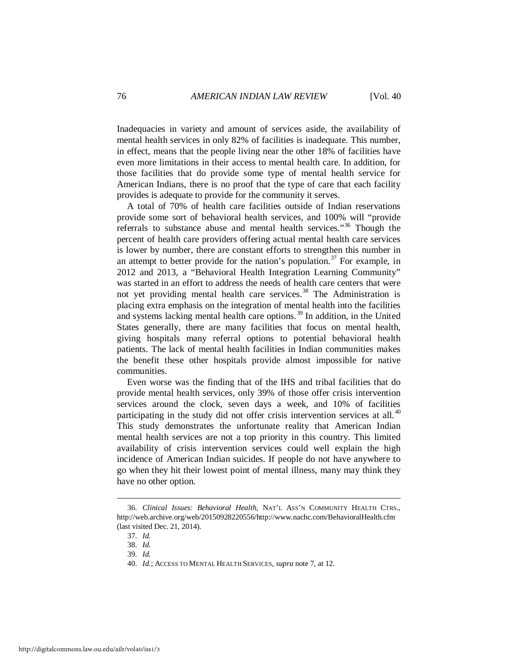Inadequacies in variety and amount of services aside, the availability of mental health services in only 82% of facilities is inadequate. This number, in effect, means that the people living near the other 18% of facilities have even more limitations in their access to mental health care. In addition, for those facilities that do provide some type of mental health service for American Indians, there is no proof that the type of care that each facility provides is adequate to provide for the community it serves.

A total of 70% of health care facilities outside of Indian reservations provide some sort of behavioral health services, and 100% will "provide referrals to substance abuse and mental health services."<sup>[36](#page-6-0)</sup> Though the percent of health care providers offering actual mental health care services is lower by number, there are constant efforts to strengthen this number in an attempt to better provide for the nation's population.<sup>[37](#page-6-1)</sup> For example, in 2012 and 2013, a "Behavioral Health Integration Learning Community" was started in an effort to address the needs of health care centers that were not yet providing mental health care services.<sup>[38](#page-6-2)</sup> The Administration is placing extra emphasis on the integration of mental health into the facilities and systems lacking mental health care options. [39](#page-6-3) In addition, in the United States generally, there are many facilities that focus on mental health, giving hospitals many referral options to potential behavioral health patients. The lack of mental health facilities in Indian communities makes the benefit these other hospitals provide almost impossible for native communities.

Even worse was the finding that of the IHS and tribal facilities that do provide mental health services, only 39% of those offer crisis intervention services around the clock, seven days a week, and 10% of facilities participating in the study did not offer crisis intervention services at all.<sup>[40](#page-6-4)</sup> This study demonstrates the unfortunate reality that American Indian mental health services are not a top priority in this country. This limited availability of crisis intervention services could well explain the high incidence of American Indian suicides. If people do not have anywhere to go when they hit their lowest point of mental illness, many may think they have no other option.

<span id="page-6-3"></span><span id="page-6-2"></span><span id="page-6-1"></span><span id="page-6-0"></span> <sup>36.</sup> *Clinical Issues: Behavioral Health*, NAT'L ASS'N COMMUNITY HEALTH CTRS., http://web.archive.org/web/20150928220556/http://www.nachc.com/BehavioralHealth.cfm (last visited Dec. 21, 2014).

 <sup>37.</sup> *Id.*

 <sup>38.</sup> *Id.*

 <sup>39.</sup> *Id.*

<span id="page-6-4"></span> <sup>40.</sup> *Id.*; ACCESS TO MENTAL HEALTH SERVICES, *supra* note [7,](#page-1-9) at 12.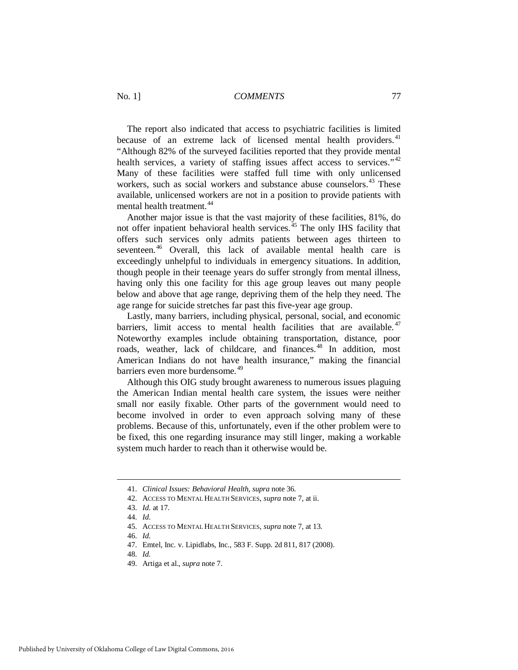The report also indicated that access to psychiatric facilities is limited because of an extreme lack of licensed mental health providers.<sup>[41](#page-7-0)</sup> "Although 82% of the surveyed facilities reported that they provide mental health services, a variety of staffing issues affect access to services."<sup>[42](#page-7-1)</sup> Many of these facilities were staffed full time with only unlicensed workers, such as social workers and substance abuse counselors.<sup>[43](#page-7-2)</sup> These available, unlicensed workers are not in a position to provide patients with mental health treatment.<sup>[44](#page-7-3)</sup>

Another major issue is that the vast majority of these facilities, 81%, do not offer inpatient behavioral health services.<sup>[45](#page-7-4)</sup> The only IHS facility that offers such services only admits patients between ages thirteen to seventeen.<sup>[46](#page-7-5)</sup> Overall, this lack of available mental health care is exceedingly unhelpful to individuals in emergency situations. In addition, though people in their teenage years do suffer strongly from mental illness, having only this one facility for this age group leaves out many people below and above that age range, depriving them of the help they need. The age range for suicide stretches far past this five-year age group.

Lastly, many barriers, including physical, personal, social, and economic barriers, limit access to mental health facilities that are available.  $47$ Noteworthy examples include obtaining transportation, distance, poor roads, weather, lack of childcare, and finances. [48](#page-7-7) In addition, most American Indians do not have health insurance," making the financial barriers even more burdensome. [49](#page-7-8)

Although this OIG study brought awareness to numerous issues plaguing the American Indian mental health care system, the issues were neither small nor easily fixable. Other parts of the government would need to become involved in order to even approach solving many of these problems. Because of this, unfortunately, even if the other problem were to be fixed, this one regarding insurance may still linger, making a workable system much harder to reach than it otherwise would be.

 <sup>41.</sup> *Clinical Issues: Behavioral Health*, *supra* note 36.

<span id="page-7-3"></span><span id="page-7-2"></span><span id="page-7-1"></span><span id="page-7-0"></span> <sup>42.</sup> ACCESS TO MENTAL HEALTH SERVICES, *supra* not[e 7,](#page-1-9) at ii.

 <sup>43.</sup> *Id.* at 17.

 <sup>44.</sup> *Id.* 

<span id="page-7-4"></span> <sup>45.</sup> ACCESS TO MENTAL HEALTH SERVICES, *supra* not[e 7,](#page-1-9) at 13.

<span id="page-7-6"></span><span id="page-7-5"></span> <sup>46.</sup> *Id.*

 <sup>47.</sup> Emtel, Inc. v. Lipidlabs, Inc., 583 F. Supp. 2d 811, 817 (2008).

 <sup>48.</sup> *Id.*

<span id="page-7-8"></span><span id="page-7-7"></span> <sup>49.</sup> Artiga et al., *supra* not[e 7.](#page-1-9)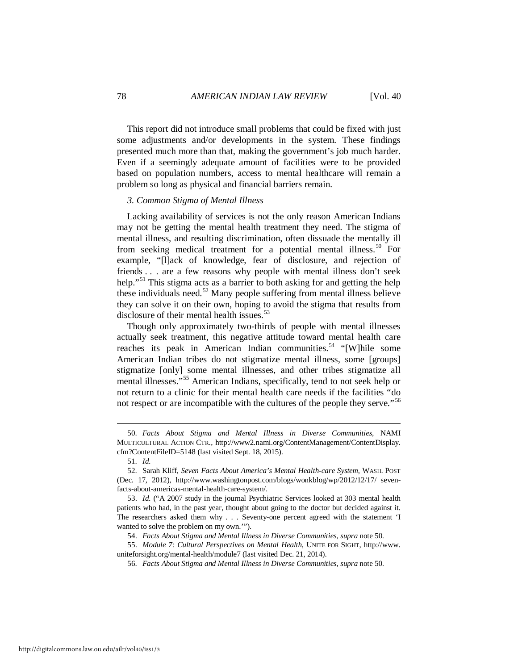This report did not introduce small problems that could be fixed with just some adjustments and/or developments in the system. These findings presented much more than that, making the government's job much harder. Even if a seemingly adequate amount of facilities were to be provided based on population numbers, access to mental healthcare will remain a problem so long as physical and financial barriers remain.

#### *3. Common Stigma of Mental Illness*

Lacking availability of services is not the only reason American Indians may not be getting the mental health treatment they need. The stigma of mental illness, and resulting discrimination, often dissuade the mentally ill from seeking medical treatment for a potential mental illness.<sup>[50](#page-8-0)</sup> For example, "[l]ack of knowledge, fear of disclosure, and rejection of friends . . . are a few reasons why people with mental illness don't seek help."<sup>[51](#page-8-1)</sup> This stigma acts as a barrier to both asking for and getting the help these individuals need.<sup>[52](#page-8-2)</sup> Many people suffering from mental illness believe they can solve it on their own, hoping to avoid the stigma that results from disclosure of their mental health issues.<sup>[53](#page-8-3)</sup>

Though only approximately two-thirds of people with mental illnesses actually seek treatment, this negative attitude toward mental health care reaches its peak in American Indian communities.<sup>[54](#page-8-4)</sup> "[W]hile some American Indian tribes do not stigmatize mental illness, some [groups] stigmatize [only] some mental illnesses, and other tribes stigmatize all mental illnesses."<sup>[55](#page-8-5)</sup> American Indians, specifically, tend to not seek help or not return to a clinic for their mental health care needs if the facilities "do not respect or are incompatible with the cultures of the people they serve."<sup>[56](#page-8-6)</sup>

<u>.</u>

<span id="page-8-6"></span><span id="page-8-5"></span><span id="page-8-4"></span> 55. *Module 7: Cultural Perspectives on Mental Health*, UNITE FOR SIGHT, http://www. uniteforsight.org/mental-health/module7 (last visited Dec. 21, 2014).

56. *Facts About Stigma and Mental Illness in Diverse Communities*, *supra* note 50.

<span id="page-8-0"></span> <sup>50.</sup> *Facts About Stigma and Mental Illness in Diverse Communities*, NAMI MULTICULTURAL ACTION CTR., http://www2.nami.org/ContentManagement/ContentDisplay. cfm?ContentFileID=5148 (last visited Sept. 18, 2015).

 <sup>51.</sup> *Id.*

<span id="page-8-2"></span><span id="page-8-1"></span> <sup>52.</sup> Sarah Kliff, *Seven Facts About America's Mental Health-care System*, WASH. POST (Dec. 17, 2012), http://www.washingtonpost.com/blogs/wonkblog/wp/2012/12/17/ sevenfacts-about-americas-mental-health-care-system/.

<span id="page-8-3"></span> <sup>53.</sup> *Id.* ("A 2007 study in the journal Psychiatric Services looked at 303 mental health patients who had, in the past year, thought about going to the doctor but decided against it. The researchers asked them why . . . Seventy-one percent agreed with the statement 'I wanted to solve the problem on my own.'").

 <sup>54.</sup> *Facts About Stigma and Mental Illness in Diverse Communities*, *supra* note 50.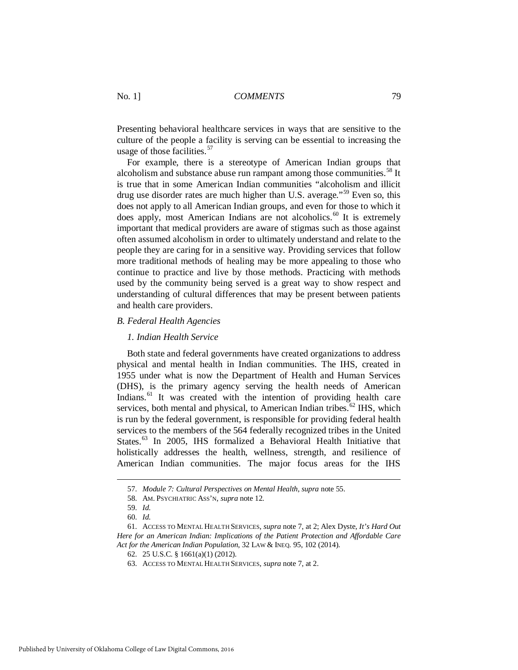Presenting behavioral healthcare services in ways that are sensitive to the culture of the people a facility is serving can be essential to increasing the usage of those facilities.<sup>57</sup>

For example, there is a stereotype of American Indian groups that alcoholism and substance abuse run rampant among those communities.<sup>[58](#page-9-1)</sup> It is true that in some American Indian communities "alcoholism and illicit drug use disorder rates are much higher than U.S. average."<sup>[59](#page-9-2)</sup> Even so, this does not apply to all American Indian groups, and even for those to which it does apply, most American Indians are not alcoholics.<sup>[60](#page-9-3)</sup> It is extremely important that medical providers are aware of stigmas such as those against often assumed alcoholism in order to ultimately understand and relate to the people they are caring for in a sensitive way. Providing services that follow more traditional methods of healing may be more appealing to those who continue to practice and live by those methods. Practicing with methods used by the community being served is a great way to show respect and understanding of cultural differences that may be present between patients and health care providers.

#### *B. Federal Health Agencies*

#### *1. Indian Health Service*

Both state and federal governments have created organizations to address physical and mental health in Indian communities. The IHS, created in 1955 under what is now the Department of Health and Human Services (DHS), is the primary agency serving the health needs of American Indians.<sup>[61](#page-9-4)</sup> It was created with the intention of providing health care services, both mental and physical, to American Indian tribes.<sup>[62](#page-9-5)</sup> IHS, which is run by the federal government, is responsible for providing federal health services to the members of the 564 federally recognized tribes in the United States.<sup>[63](#page-9-6)</sup> In 2005, IHS formalized a Behavioral Health Initiative that holistically addresses the health, wellness, strength, and resilience of American Indian communities. The major focus areas for the IHS

 <sup>57.</sup> *Module 7: Cultural Perspectives on Mental Health*, *supra* note 55.

 <sup>58.</sup> AM. PSYCHIATRIC ASS'N, *supra* note 12.

 <sup>59.</sup> *Id.*

 <sup>60.</sup> *Id.*

<span id="page-9-6"></span><span id="page-9-5"></span><span id="page-9-4"></span><span id="page-9-3"></span><span id="page-9-2"></span><span id="page-9-1"></span><span id="page-9-0"></span> <sup>61.</sup> ACCESS TO MENTAL HEALTH SERVICES, *supra* note 7, at 2; Alex Dyste, *It's Hard Out Here for an American Indian: Implications of the Patient Protection and Affordable Care Act for the American Indian Population*, 32 LAW & INEQ. 95, 102 (2014).

 <sup>62. 25</sup> U.S.C. § 1661(a)(1) (2012).

 <sup>63.</sup> ACCESS TO MENTAL HEALTH SERVICES, *supra* not[e 7,](#page-1-9) at 2.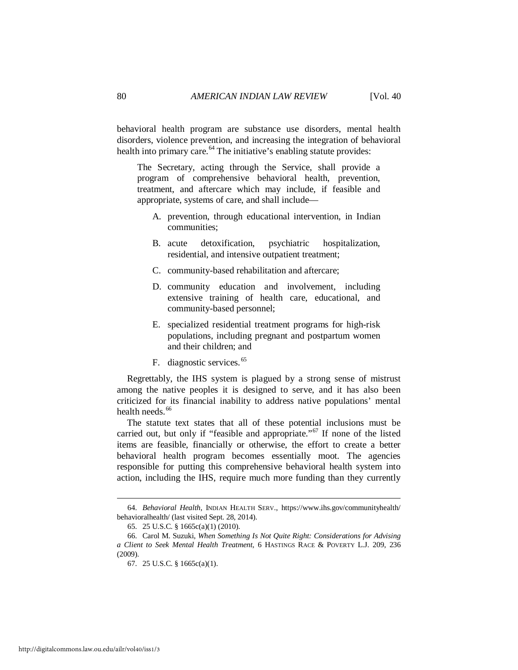behavioral health program are substance use disorders, mental health disorders, violence prevention, and increasing the integration of behavioral health into primary care.<sup>[64](#page-10-0)</sup> The initiative's enabling statute provides:

The Secretary, acting through the Service, shall provide a program of comprehensive behavioral health, prevention, treatment, and aftercare which may include, if feasible and appropriate, systems of care, and shall include—

- A. prevention, through educational intervention, in Indian communities;
- B. acute detoxification, psychiatric hospitalization, residential, and intensive outpatient treatment;
- C. community-based rehabilitation and aftercare;
- D. community education and involvement, including extensive training of health care, educational, and community-based personnel;
- E. specialized residential treatment programs for high-risk populations, including pregnant and postpartum women and their children; and
- F. diagnostic services.<sup>[65](#page-10-1)</sup>

Regrettably, the IHS system is plagued by a strong sense of mistrust among the native peoples it is designed to serve, and it has also been criticized for its financial inability to address native populations' mental health needs.<sup>[66](#page-10-2)</sup>

The statute text states that all of these potential inclusions must be carried out, but only if "feasible and appropriate."<sup>[67](#page-10-3)</sup> If none of the listed items are feasible, financially or otherwise, the effort to create a better behavioral health program becomes essentially moot. The agencies responsible for putting this comprehensive behavioral health system into action, including the IHS, require much more funding than they currently

<span id="page-10-0"></span> <sup>64.</sup> *Behavioral Health*, INDIAN HEALTH SERV., https://www.ihs.gov/communityhealth/ behavioralhealth/ (last visited Sept. 28, 2014).

 <sup>65. 25</sup> U.S.C. § 1665c(a)(1) (2010).

<span id="page-10-3"></span><span id="page-10-2"></span><span id="page-10-1"></span> <sup>66.</sup> Carol M. Suzuki, *When Something Is Not Quite Right: Considerations for Advising a Client to Seek Mental Health Treatment*, 6 HASTINGS RACE & POVERTY L.J. 209, 236 (2009).

 <sup>67. 25</sup> U.S.C. § 1665c(a)(1).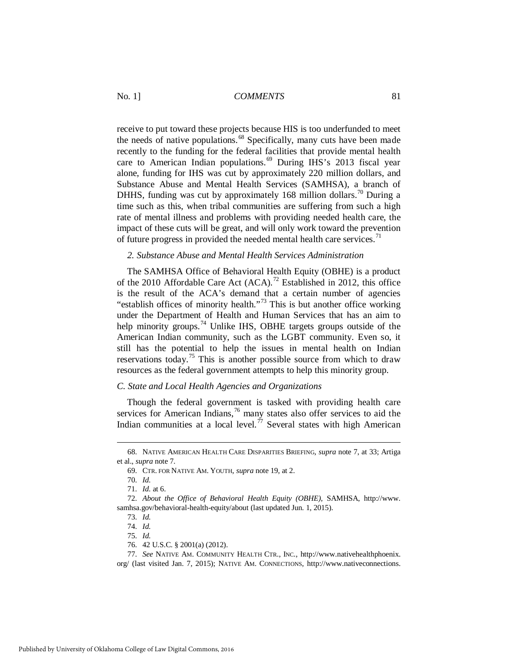receive to put toward these projects because HIS is too underfunded to meet the needs of native populations.<sup>[68](#page-11-0)</sup> Specifically, many cuts have been made recently to the funding for the federal facilities that provide mental health care to American Indian populations.<sup>[69](#page-11-1)</sup> During IHS's 2013 fiscal year alone, funding for IHS was cut by approximately 220 million dollars, and Substance Abuse and Mental Health Services (SAMHSA), a branch of DHHS, funding was cut by approximately 168 million dollars.<sup>[70](#page-11-2)</sup> During a time such as this, when tribal communities are suffering from such a high rate of mental illness and problems with providing needed health care, the impact of these cuts will be great, and will only work toward the prevention of future progress in provided the needed mental health care services.<sup>[71](#page-11-3)</sup>

#### *2. Substance Abuse and Mental Health Services Administration*

The SAMHSA Office of Behavioral Health Equity (OBHE) is a product of the 2010 Affordable Care Act  $(ACA)$ .<sup>[72](#page-11-4)</sup> Established in 2012, this office is the result of the ACA's demand that a certain number of agencies "establish offices of minority health."[73](#page-11-5) This is but another office working under the Department of Health and Human Services that has an aim to help minority groups.<sup>[74](#page-11-6)</sup> Unlike IHS, OBHE targets groups outside of the American Indian community, such as the LGBT community. Even so, it still has the potential to help the issues in mental health on Indian reservations today.<sup>[75](#page-11-7)</sup> This is another possible source from which to draw resources as the federal government attempts to help this minority group.

#### *C. State and Local Health Agencies and Organizations*

Though the federal government is tasked with providing health care services for American Indians,<sup>[76](#page-11-8)</sup> many states also offer services to aid the Indian communities at a local level.<sup>[77](#page-11-9)</sup> Several states with high American

<span id="page-11-1"></span><span id="page-11-0"></span> <sup>68.</sup> NATIVE AMERICAN HEALTH CARE DISPARITIES BRIEFING*, supra* note 7, at 33; Artiga et al., *supra* not[e 7.](#page-1-9)

 <sup>69.</sup> CTR. FOR NATIVE AM. YOUTH, *supra* note 19, at 2.

 <sup>70.</sup> *Id.*

 <sup>71.</sup> *Id.* at 6.

<span id="page-11-6"></span><span id="page-11-5"></span><span id="page-11-4"></span><span id="page-11-3"></span><span id="page-11-2"></span> <sup>72.</sup> *About the Office of Behavioral Health Equity (OBHE)*, SAMHSA, http://www. samhsa.gov/behavioral-health-equity/about (last updated Jun. 1, 2015).

 <sup>73.</sup> *Id.*

 <sup>74.</sup> *Id.*

 <sup>75.</sup> *Id.*

 <sup>76. 42</sup> U.S.C. § 2001(a) (2012).

 <sup>77.</sup> *See* NATIVE AM. COMMUNITY HEALTH CTR., INC., http://www.nativehealthphoenix.

<span id="page-11-9"></span><span id="page-11-8"></span><span id="page-11-7"></span>org/ (last visited Jan. 7, 2015); NATIVE AM. CONNECTIONS, http://www.nativeconnections.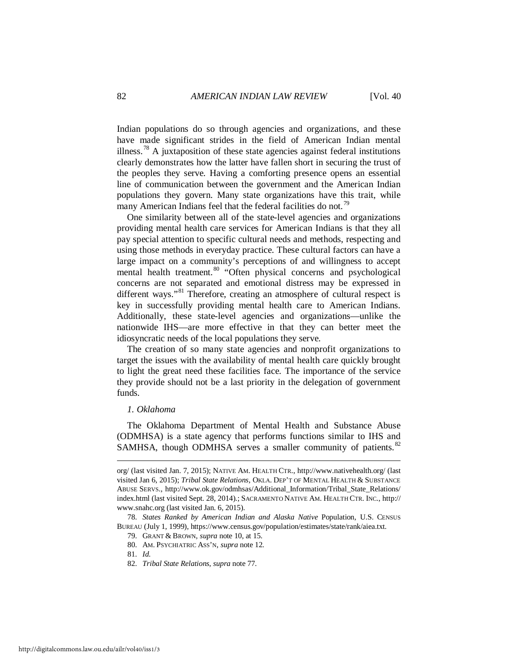Indian populations do so through agencies and organizations, and these have made significant strides in the field of American Indian mental illness.<sup>[78](#page-12-0)</sup> A juxtaposition of these state agencies against federal institutions clearly demonstrates how the latter have fallen short in securing the trust of the peoples they serve. Having a comforting presence opens an essential line of communication between the government and the American Indian populations they govern. Many state organizations have this trait, while many American Indians feel that the federal facilities do not.<sup>[79](#page-12-1)</sup>

One similarity between all of the state-level agencies and organizations providing mental health care services for American Indians is that they all pay special attention to specific cultural needs and methods, respecting and using those methods in everyday practice. These cultural factors can have a large impact on a community's perceptions of and willingness to accept mental health treatment.<sup>[80](#page-12-2)</sup> "Often physical concerns and psychological concerns are not separated and emotional distress may be expressed in different ways."<sup>[81](#page-12-3)</sup> Therefore, creating an atmosphere of cultural respect is key in successfully providing mental health care to American Indians. Additionally, these state-level agencies and organizations—unlike the nationwide IHS—are more effective in that they can better meet the idiosyncratic needs of the local populations they serve.

The creation of so many state agencies and nonprofit organizations to target the issues with the availability of mental health care quickly brought to light the great need these facilities face. The importance of the service they provide should not be a last priority in the delegation of government funds.

#### *1. Oklahoma*

The Oklahoma Department of Mental Health and Substance Abuse (ODMHSA) is a state agency that performs functions similar to IHS and SAMHSA, though ODMHSA serves a smaller community of patients.<sup>[82](#page-12-4)</sup>

org/ (last visited Jan. 7, 2015); NATIVE AM. HEALTH CTR., http://www.nativehealth.org/ (last visited Jan 6, 2015); *Tribal State Relations*, OKLA. DEP'T OF MENTAL HEALTH & SUBSTANCE ABUSE SERVS., http://www.ok.gov/odmhsas/Additional\_Information/Tribal\_State\_Relations/ index.html (last visited Sept. 28, 2014).; SACRAMENTO NATIVE AM. HEALTH CTR. INC., http:// www.snahc.org (last visited Jan. 6, 2015).

<span id="page-12-4"></span><span id="page-12-3"></span><span id="page-12-2"></span><span id="page-12-1"></span><span id="page-12-0"></span> <sup>78.</sup> *States Ranked by American Indian and Alaska Native* Population, U.S. CENSUS BUREAU (July 1, 1999), https://www.census.gov/population/estimates/state/rank/aiea.txt.

 <sup>79.</sup> GRANT & BROWN, *supra* note [10,](#page-2-4) at 15.

 <sup>80.</sup> AM. PSYCHIATRIC ASS'N, *supra* note 12.

 <sup>81.</sup> *Id.*

 <sup>82.</sup> *Tribal State Relations*, *supra* note 77.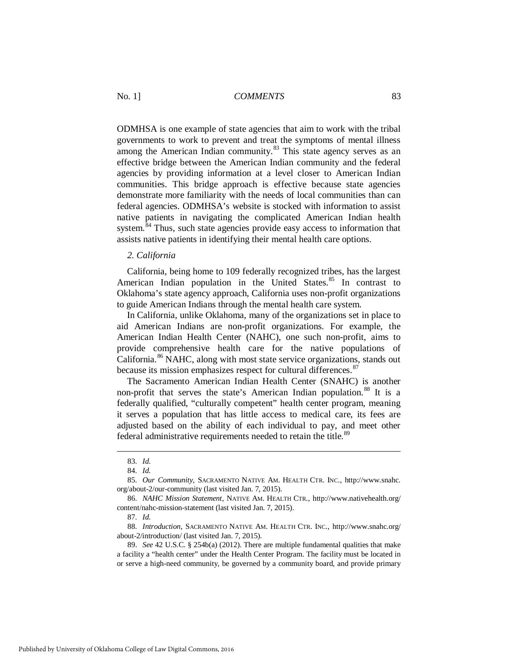ODMHSA is one example of state agencies that aim to work with the tribal governments to work to prevent and treat the symptoms of mental illness among the American Indian community.<sup>[83](#page-13-0)</sup> This state agency serves as an effective bridge between the American Indian community and the federal agencies by providing information at a level closer to American Indian communities. This bridge approach is effective because state agencies demonstrate more familiarity with the needs of local communities than can federal agencies. ODMHSA's website is stocked with information to assist native patients in navigating the complicated American Indian health system. $84$  Thus, such state agencies provide easy access to information that assists native patients in identifying their mental health care options.

#### *2. California*

California, being home to 109 federally recognized tribes, has the largest American Indian population in the United States.<sup>[85](#page-13-2)</sup> In contrast to Oklahoma's state agency approach, California uses non-profit organizations to guide American Indians through the mental health care system.

In California, unlike Oklahoma, many of the organizations set in place to aid American Indians are non-profit organizations. For example, the American Indian Health Center (NAHC), one such non-profit, aims to provide comprehensive health care for the native populations of California.[86](#page-13-3) NAHC, along with most state service organizations, stands out because its mission emphasizes respect for cultural differences.<sup>[87](#page-13-4)</sup>

The Sacramento American Indian Health Center (SNAHC) is another non-profit that serves the state's American Indian population.<sup>[88](#page-13-5)</sup> It is a federally qualified, "culturally competent" health center program, meaning it serves a population that has little access to medical care, its fees are adjusted based on the ability of each individual to pay, and meet other federal administrative requirements needed to retain the title.<sup>[89](#page-13-6)</sup>

 <sup>83.</sup> *Id.*

 <sup>84.</sup> *Id.*

<span id="page-13-2"></span><span id="page-13-1"></span><span id="page-13-0"></span> <sup>85.</sup> *Our Community*, SACRAMENTO NATIVE AM. HEALTH CTR. INC., http://www.snahc. org/about-2/our-community (last visited Jan. 7, 2015).

<span id="page-13-3"></span> <sup>86.</sup> *NAHC Mission Statement*, NATIVE AM. HEALTH CTR., http://www.nativehealth.org/ content/nahc-mission-statement (last visited Jan. 7, 2015).

 <sup>87.</sup> *Id.*

<span id="page-13-5"></span><span id="page-13-4"></span> <sup>88.</sup> *Introduction*, SACRAMENTO NATIVE AM. HEALTH CTR. INC., http://www.snahc.org/ about-2/introduction/ (last visited Jan. 7, 2015).

<span id="page-13-6"></span> <sup>89.</sup> *See* 42 U.S.C. § 254b(a) (2012). There are multiple fundamental qualities that make a facility a "health center" under the Health Center Program. The facility must be located in or serve a high-need community, be governed by a community board, and provide primary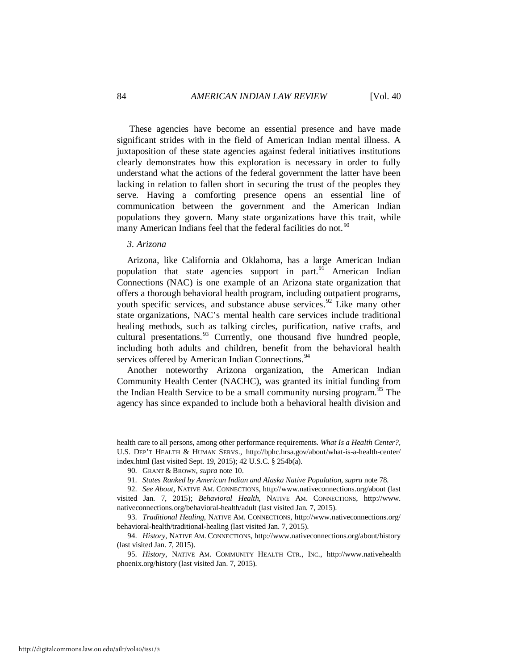These agencies have become an essential presence and have made significant strides with in the field of American Indian mental illness. A juxtaposition of these state agencies against federal initiatives institutions clearly demonstrates how this exploration is necessary in order to fully understand what the actions of the federal government the latter have been lacking in relation to fallen short in securing the trust of the peoples they serve. Having a comforting presence opens an essential line of communication between the government and the American Indian populations they govern. Many state organizations have this trait, while many American Indians feel that the federal facilities do not.<sup>[90](#page-14-0)</sup>

#### *3. Arizona*

-

Arizona, like California and Oklahoma, has a large American Indian population that state agencies support in part.<sup>[91](#page-14-1)</sup> American Indian Connections (NAC) is one example of an Arizona state organization that offers a thorough behavioral health program, including outpatient programs, youth specific services, and substance abuse services.<sup>[92](#page-14-2)</sup> Like many other state organizations, NAC's mental health care services include traditional healing methods, such as talking circles, purification, native crafts, and cultural presentations. $93$  Currently, one thousand five hundred people, including both adults and children, benefit from the behavioral health services offered by American Indian Connections.<sup>[94](#page-14-4)</sup>

Another noteworthy Arizona organization, the American Indian Community Health Center (NACHC), was granted its initial funding from the Indian Health Service to be a small community nursing program.<sup>[95](#page-14-5)</sup> The agency has since expanded to include both a behavioral health division and

health care to all persons, among other performance requirements. *What Is a Health Center?,* U.S. DEP'T HEALTH & HUMAN SERVS., http://bphc.hrsa.gov/about/what-is-a-health-center/ index.html (last visited Sept. 19, 2015); 42 U.S.C. § 254b(a).

 <sup>90.</sup> GRANT & BROWN, *supra* note [10.](#page-2-4)

 <sup>91.</sup> *States Ranked by American Indian and Alaska Native Population*, *supra* note 78.

<span id="page-14-2"></span><span id="page-14-1"></span><span id="page-14-0"></span> <sup>92.</sup> *See About*, NATIVE AM. CONNECTIONS, http://www.nativeconnections.org/about (last visited Jan. 7, 2015); *Behavioral Health*, NATIVE AM. CONNECTIONS, http://www. nativeconnections.org/behavioral-health/adult (last visited Jan. 7, 2015).

<span id="page-14-3"></span> <sup>93.</sup> *Traditional Healing*, NATIVE AM. CONNECTIONS, http://www.nativeconnections.org/ behavioral-health/traditional-healing (last visited Jan. 7, 2015).

<span id="page-14-4"></span> <sup>94.</sup> *History*, NATIVE AM. CONNECTIONS, http://www.nativeconnections.org/about/history (last visited Jan. 7, 2015).

<span id="page-14-5"></span> <sup>95.</sup> *History*, NATIVE AM. COMMUNITY HEALTH CTR., INC., http://www.nativehealth phoenix.org/history (last visited Jan. 7, 2015).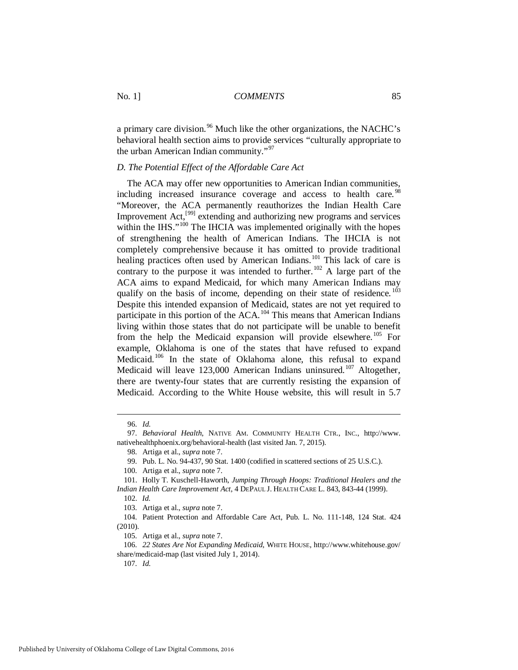a primary care division.<sup>[96](#page-15-0)</sup> Much like the other organizations, the NACHC's behavioral health section aims to provide services "culturally appropriate to the urban American Indian community."<sup>[97](#page-15-1)</sup>

#### *D. The Potential Effect of the Affordable Care Act*

The ACA may offer new opportunities to American Indian communities, including increased insurance coverage and access to health care.<sup>[98](#page-15-2)</sup> "Moreover, the ACA permanently reauthorizes the Indian Health Care Improvement Act,[[99\]](#page-15-3) extending and authorizing new programs and services within the IHS."<sup>[100](#page-15-4)</sup> The IHCIA was implemented originally with the hopes of strengthening the health of American Indians. The IHCIA is not completely comprehensive because it has omitted to provide traditional healing practices often used by American Indians.<sup>[101](#page-15-5)</sup> This lack of care is contrary to the purpose it was intended to further.<sup>[102](#page-15-6)</sup> A large part of the ACA aims to expand Medicaid, for which many American Indians may qualify on the basis of income, depending on their state of residence.<sup>[103](#page-15-7)</sup> Despite this intended expansion of Medicaid, states are not yet required to participate in this portion of the  $ACA$ .<sup>[104](#page-15-8)</sup> This means that American Indians living within those states that do not participate will be unable to benefit from the help the Medicaid expansion will provide elsewhere.<sup>[105](#page-15-9)</sup> For example, Oklahoma is one of the states that have refused to expand Medicaid.<sup>[106](#page-15-10)</sup> In the state of Oklahoma alone, this refusal to expand Medicaid will leave 123,000 American Indians uninsured.<sup>107</sup> Altogether, there are twenty-four states that are currently resisting the expansion of Medicaid. According to the White House website, this will result in 5.7

-

107. *Id.*

 <sup>96.</sup> *Id.*

<span id="page-15-2"></span><span id="page-15-1"></span><span id="page-15-0"></span> <sup>97.</sup> *Behavioral Health*, NATIVE AM. COMMUNITY HEALTH CTR., INC., http://www. nativehealthphoenix.org/behavioral-health (last visited Jan. 7, 2015).

 <sup>98.</sup> Artiga et al., *supra* not[e 7.](#page-1-9)

 <sup>99.</sup> Pub. L. No. 94-437, 90 Stat. 1400 (codified in scattered sections of 25 U.S.C.).

 <sup>100.</sup> Artiga et al., *supra* not[e 7.](#page-1-9)

<span id="page-15-6"></span><span id="page-15-5"></span><span id="page-15-4"></span><span id="page-15-3"></span> <sup>101.</sup> Holly T. Kuschell-Haworth, *Jumping Through Hoops: Traditional Healers and the Indian Health Care Improvement Act*, 4 DEPAUL J. HEALTH CARE L. 843, 843-44 (1999). 102. *Id.* 

 <sup>103.</sup> Artiga et al., *supra* note 7.

<span id="page-15-8"></span><span id="page-15-7"></span> <sup>104.</sup> Patient Protection and Affordable Care Act, Pub. L. No. 111-148, 124 Stat. 424 (2010).

 <sup>105.</sup> Artiga et al., *supra* not[e 7.](#page-1-9)

<span id="page-15-11"></span><span id="page-15-10"></span><span id="page-15-9"></span> <sup>106.</sup> *22 States Are Not Expanding Medicaid*, WHITE HOUSE, http://www.whitehouse.gov/ share/medicaid-map (last visited July 1, 2014).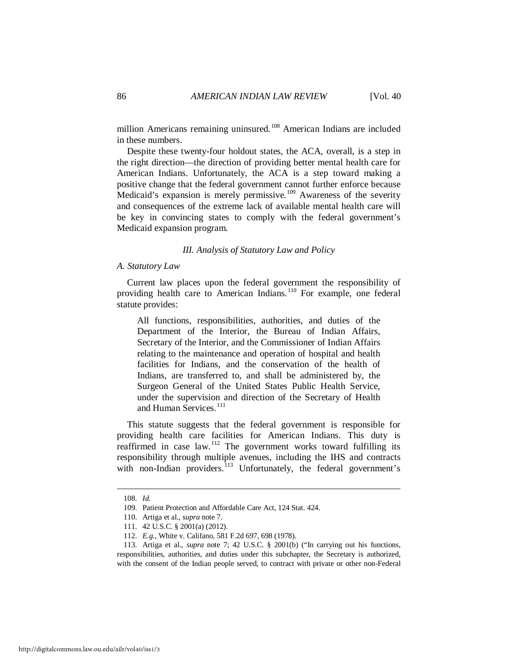million Americans remaining uninsured.<sup>[108](#page-16-0)</sup> American Indians are included in these numbers.

Despite these twenty-four holdout states, the ACA, overall, is a step in the right direction—the direction of providing better mental health care for American Indians. Unfortunately, the ACA is a step toward making a positive change that the federal government cannot further enforce because Medicaid's expansion is merely permissive.<sup>[109](#page-16-1)</sup> Awareness of the severity and consequences of the extreme lack of available mental health care will be key in convincing states to comply with the federal government's Medicaid expansion program.

#### *III. Analysis of Statutory Law and Policy*

#### *A. Statutory Law*

Current law places upon the federal government the responsibility of providing health care to American Indians.<sup>[110](#page-16-2)</sup> For example, one federal statute provides:

All functions, responsibilities, authorities, and duties of the Department of the Interior, the Bureau of Indian Affairs, Secretary of the Interior, and the Commissioner of Indian Affairs relating to the maintenance and operation of hospital and health facilities for Indians, and the conservation of the health of Indians, are transferred to, and shall be administered by, the Surgeon General of the United States Public Health Service, under the supervision and direction of the Secretary of Health and Human Services.<sup>111</sup>

This statute suggests that the federal government is responsible for providing health care facilities for American Indians. This duty is reaffirmed in case law.<sup>[112](#page-16-4)</sup> The government works toward fulfilling its responsibility through multiple avenues, including the IHS and contracts with non-Indian providers.<sup>[113](#page-16-5)</sup> Unfortunately, the federal government's

<span id="page-16-0"></span> <sup>108.</sup> *Id.*

 <sup>109.</sup> Patient Protection and Affordable Care Act, 124 Stat. 424.

 <sup>110.</sup> Artiga et al., *supra* not[e 7.](#page-1-9)

 <sup>111. 42</sup> U.S.C. § 2001(a) (2012).

 <sup>112.</sup> *E.g.*, White v. Califano, 581 F.2d 697, 698 (1978).

<span id="page-16-5"></span><span id="page-16-4"></span><span id="page-16-3"></span><span id="page-16-2"></span><span id="page-16-1"></span> <sup>113.</sup> Artiga et al., *supra* note [7;](#page-1-9) 42 U.S.C. § 2001(b) ("In carrying out his functions, responsibilities, authorities, and duties under this subchapter, the Secretary is authorized, with the consent of the Indian people served, to contract with private or other non-Federal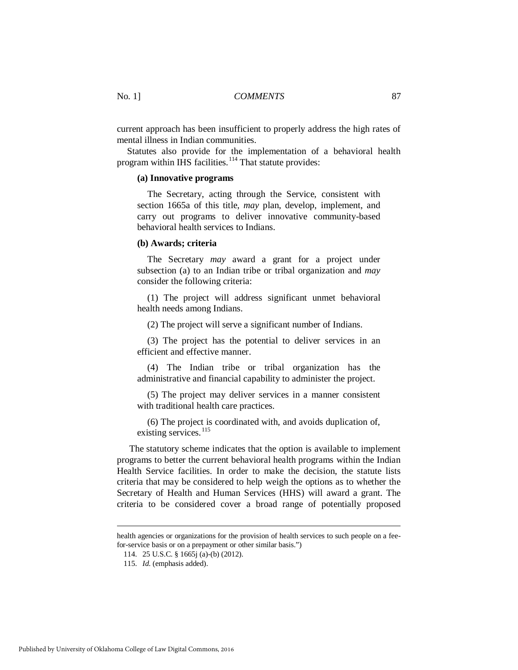current approach has been insufficient to properly address the high rates of mental illness in Indian communities.

Statutes also provide for the implementation of a behavioral health program within IHS facilities.<sup>[114](#page-17-0)</sup> That statute provides:

#### **(a) Innovative programs**

The Secretary, acting through the Service, consistent with section 1665a of this title, *may* plan, develop, implement, and carry out programs to deliver innovative community-based behavioral health services to Indians.

#### **(b) Awards; criteria**

The Secretary *may* award a grant for a project under subsection (a) to an Indian tribe or tribal organization and *may* consider the following criteria:

(1) The project will address significant unmet behavioral health needs among Indians.

(2) The project will serve a significant number of Indians.

(3) The project has the potential to deliver services in an efficient and effective manner.

(4) The Indian tribe or tribal organization has the administrative and financial capability to administer the project.

(5) The project may deliver services in a manner consistent with traditional health care practices.

(6) The project is coordinated with, and avoids duplication of, existing services.<sup>[115](#page-17-1)</sup>

The statutory scheme indicates that the option is available to implement programs to better the current behavioral health programs within the Indian Health Service facilities. In order to make the decision, the statute lists criteria that may be considered to help weigh the options as to whether the Secretary of Health and Human Services (HHS) will award a grant. The criteria to be considered cover a broad range of potentially proposed

<span id="page-17-1"></span><span id="page-17-0"></span>health agencies or organizations for the provision of health services to such people on a feefor-service basis or on a prepayment or other similar basis.")

 <sup>114. 25</sup> U.S.C. § 1665j (a)-(b) (2012).

 <sup>115.</sup> *Id.* (emphasis added).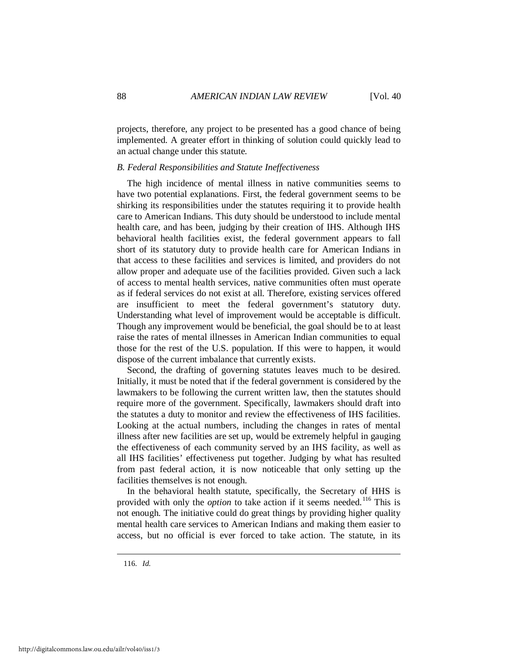projects, therefore, any project to be presented has a good chance of being implemented. A greater effort in thinking of solution could quickly lead to an actual change under this statute.

#### *B. Federal Responsibilities and Statute Ineffectiveness*

The high incidence of mental illness in native communities seems to have two potential explanations. First, the federal government seems to be shirking its responsibilities under the statutes requiring it to provide health care to American Indians. This duty should be understood to include mental health care, and has been, judging by their creation of IHS. Although IHS behavioral health facilities exist, the federal government appears to fall short of its statutory duty to provide health care for American Indians in that access to these facilities and services is limited, and providers do not allow proper and adequate use of the facilities provided. Given such a lack of access to mental health services, native communities often must operate as if federal services do not exist at all. Therefore, existing services offered are insufficient to meet the federal government's statutory duty. Understanding what level of improvement would be acceptable is difficult. Though any improvement would be beneficial, the goal should be to at least raise the rates of mental illnesses in American Indian communities to equal those for the rest of the U.S. population. If this were to happen, it would dispose of the current imbalance that currently exists.

Second, the drafting of governing statutes leaves much to be desired. Initially, it must be noted that if the federal government is considered by the lawmakers to be following the current written law, then the statutes should require more of the government. Specifically, lawmakers should draft into the statutes a duty to monitor and review the effectiveness of IHS facilities. Looking at the actual numbers, including the changes in rates of mental illness after new facilities are set up, would be extremely helpful in gauging the effectiveness of each community served by an IHS facility, as well as all IHS facilities' effectiveness put together. Judging by what has resulted from past federal action, it is now noticeable that only setting up the facilities themselves is not enough.

In the behavioral health statute, specifically, the Secretary of HHS is provided with only the *option* to take action if it seems needed.<sup>[116](#page-18-0)</sup> This is not enough. The initiative could do great things by providing higher quality mental health care services to American Indians and making them easier to access, but no official is ever forced to take action. The statute, in its

<span id="page-18-0"></span>116. *Id.*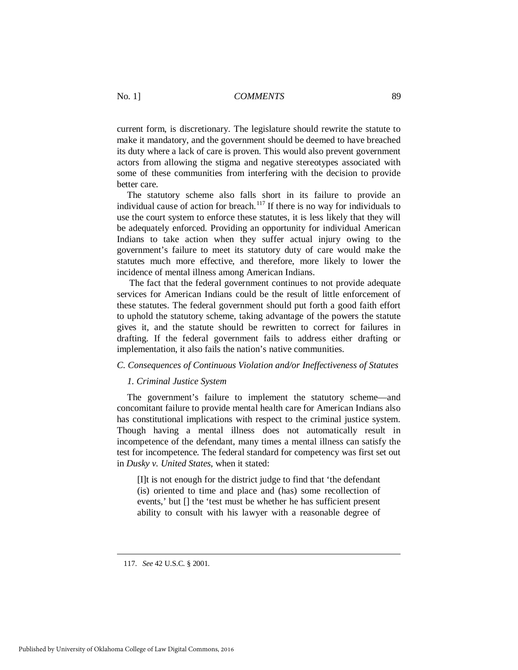current form, is discretionary. The legislature should rewrite the statute to make it mandatory, and the government should be deemed to have breached its duty where a lack of care is proven. This would also prevent government actors from allowing the stigma and negative stereotypes associated with some of these communities from interfering with the decision to provide better care.

The statutory scheme also falls short in its failure to provide an individual cause of action for breach.<sup>[117](#page-19-0)</sup> If there is no way for individuals to use the court system to enforce these statutes, it is less likely that they will be adequately enforced. Providing an opportunity for individual American Indians to take action when they suffer actual injury owing to the government's failure to meet its statutory duty of care would make the statutes much more effective, and therefore, more likely to lower the incidence of mental illness among American Indians.

The fact that the federal government continues to not provide adequate services for American Indians could be the result of little enforcement of these statutes. The federal government should put forth a good faith effort to uphold the statutory scheme, taking advantage of the powers the statute gives it, and the statute should be rewritten to correct for failures in drafting. If the federal government fails to address either drafting or implementation, it also fails the nation's native communities.

#### *C. Consequences of Continuous Violation and/or Ineffectiveness of Statutes*

#### *1. Criminal Justice System*

The government's failure to implement the statutory scheme—and concomitant failure to provide mental health care for American Indians also has constitutional implications with respect to the criminal justice system. Though having a mental illness does not automatically result in incompetence of the defendant, many times a mental illness can satisfy the test for incompetence. The federal standard for competency was first set out in *Dusky v. United States*, when it stated:

[I]t is not enough for the district judge to find that 'the defendant (is) oriented to time and place and (has) some recollection of events,' but [] the 'test must be whether he has sufficient present ability to consult with his lawyer with a reasonable degree of

<span id="page-19-0"></span> <sup>117.</sup> *See* 42 U.S.C. § 2001.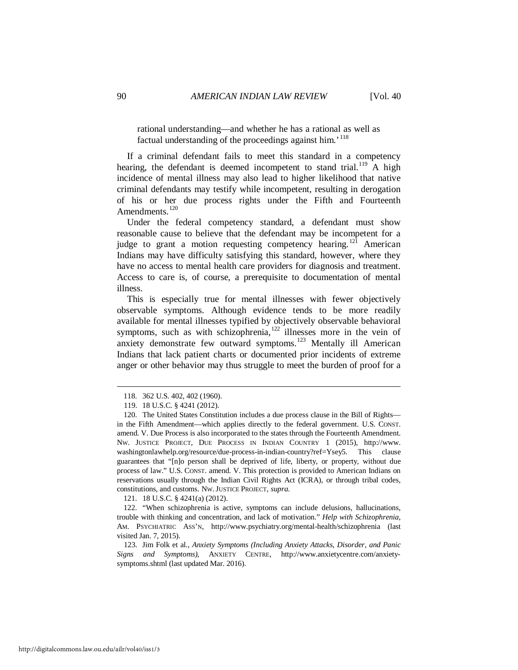rational understanding—and whether he has a rational as well as factual understanding of the proceedings against him.<sup>'[118](#page-20-0)</sup>

If a criminal defendant fails to meet this standard in a competency hearing, the defendant is deemed incompetent to stand trial.<sup>[119](#page-20-1)</sup> A high incidence of mental illness may also lead to higher likelihood that native criminal defendants may testify while incompetent, resulting in derogation of his or her due process rights under the Fifth and Fourteenth Amendments.<sup>[120](#page-20-2)</sup>

Under the federal competency standard, a defendant must show reasonable cause to believe that the defendant may be incompetent for a judge to grant a motion requesting competency hearing.<sup>[121](#page-20-3)</sup> American Indians may have difficulty satisfying this standard, however, where they have no access to mental health care providers for diagnosis and treatment. Access to care is, of course, a prerequisite to documentation of mental illness.

This is especially true for mental illnesses with fewer objectively observable symptoms. Although evidence tends to be more readily available for mental illnesses typified by objectively observable behavioral symptoms, such as with schizophrenia, $122$  illnesses more in the vein of anxiety demonstrate few outward symptoms.<sup>[123](#page-20-5)</sup> Mentally ill American Indians that lack patient charts or documented prior incidents of extreme anger or other behavior may thus struggle to meet the burden of proof for a

<u>.</u>

121. 18 U.S.C. § 4241(a) (2012).

<span id="page-20-4"></span><span id="page-20-3"></span> 122. "When schizophrenia is active, symptoms can include delusions, hallucinations, trouble with thinking and concentration, and lack of motivation." *Help with Schizophrenia*, AM. PSYCHIATRIC ASS'N, http://www.psychiatry.org/mental-health/schizophrenia (last visited Jan. 7, 2015).

<span id="page-20-5"></span> 123. Jim Folk et al., *Anxiety Symptoms (Including Anxiety Attacks, Disorder, and Panic Signs and Symptoms)*, ANXIETY CENTRE, http://www.anxietycentre.com/anxietysymptoms.shtml (last updated Mar. 2016).

 <sup>118. 362</sup> U.S. 402, 402 (1960).

 <sup>119. 18</sup> U.S.C. § 4241 (2012).

<span id="page-20-2"></span><span id="page-20-1"></span><span id="page-20-0"></span> <sup>120.</sup> The United States Constitution includes a due process clause in the Bill of Rights in the Fifth Amendment—which applies directly to the federal government. U.S. CONST. amend. V. Due Process is also incorporated to the states through the Fourteenth Amendment. NW. JUSTICE PROJECT, DUE PROCESS IN INDIAN COUNTRY 1 (2015), http://www. washingtonlawhelp.org/resource/due-process-in-indian-country?ref=Ysey5*.* This clause guarantees that "[n]o person shall be deprived of life, liberty, or property, without due process of law." U.S. CONST. amend. V. This protection is provided to American Indians on reservations usually through the Indian Civil Rights Act (ICRA), or through tribal codes, constitutions, and customs*.* NW.JUSTICE PROJECT, *supra*.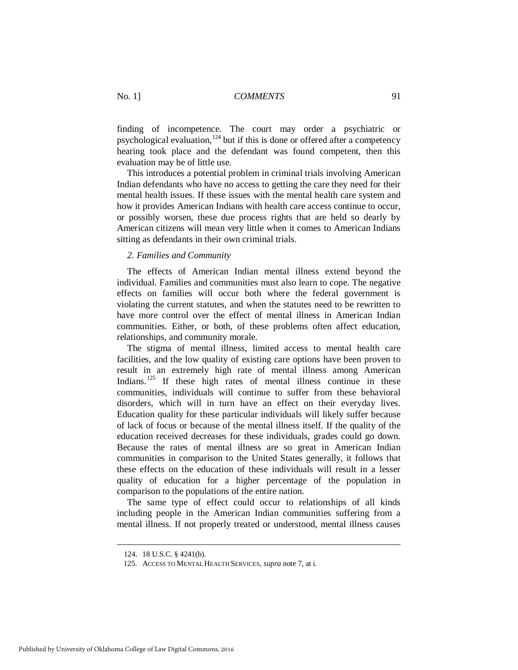finding of incompetence. The court may order a psychiatric or psychological evaluation,  $124$  but if this is done or offered after a competency hearing took place and the defendant was found competent, then this evaluation may be of little use.

This introduces a potential problem in criminal trials involving American Indian defendants who have no access to getting the care they need for their mental health issues. If these issues with the mental health care system and how it provides American Indians with health care access continue to occur, or possibly worsen, these due process rights that are held so dearly by American citizens will mean very little when it comes to American Indians sitting as defendants in their own criminal trials.

#### *2. Families and Community*

The effects of American Indian mental illness extend beyond the individual. Families and communities must also learn to cope. The negative effects on families will occur both where the federal government is violating the current statutes, and when the statutes need to be rewritten to have more control over the effect of mental illness in American Indian communities. Either, or both, of these problems often affect education, relationships, and community morale.

The stigma of mental illness, limited access to mental health care facilities, and the low quality of existing care options have been proven to result in an extremely high rate of mental illness among American Indians.<sup>[125](#page-21-1)</sup> If these high rates of mental illness continue in these communities, individuals will continue to suffer from these behavioral disorders, which will in turn have an effect on their everyday lives. Education quality for these particular individuals will likely suffer because of lack of focus or because of the mental illness itself. If the quality of the education received decreases for these individuals, grades could go down. Because the rates of mental illness are so great in American Indian communities in comparison to the United States generally, it follows that these effects on the education of these individuals will result in a lesser quality of education for a higher percentage of the population in comparison to the populations of the entire nation.

The same type of effect could occur to relationships of all kinds including people in the American Indian communities suffering from a mental illness. If not properly treated or understood, mental illness causes

 <sup>124. 18</sup> U.S.C. § 4241(b).

<span id="page-21-1"></span><span id="page-21-0"></span> <sup>125.</sup> ACCESS TO MENTAL HEALTH SERVICES, *supra* not[e 7,](#page-1-9) at i.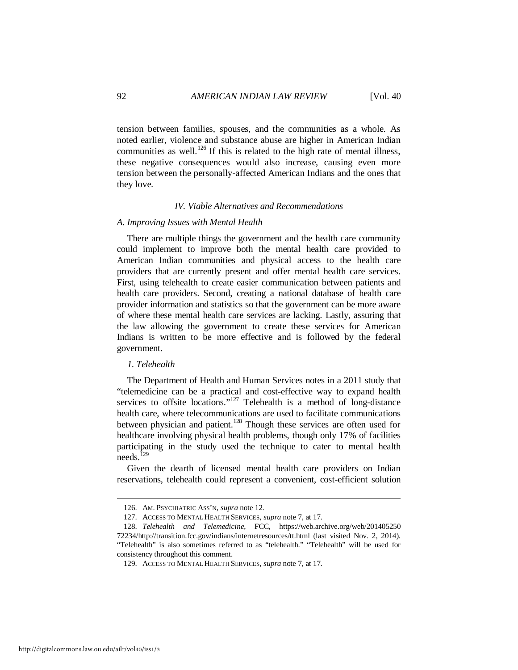tension between families, spouses, and the communities as a whole. As noted earlier, violence and substance abuse are higher in American Indian communities as well.<sup>[126](#page-22-0)</sup> If this is related to the high rate of mental illness, these negative consequences would also increase, causing even more tension between the personally-affected American Indians and the ones that they love.

#### *IV. Viable Alternatives and Recommendations*

#### *A. Improving Issues with Mental Health*

There are multiple things the government and the health care community could implement to improve both the mental health care provided to American Indian communities and physical access to the health care providers that are currently present and offer mental health care services. First, using telehealth to create easier communication between patients and health care providers. Second, creating a national database of health care provider information and statistics so that the government can be more aware of where these mental health care services are lacking. Lastly, assuring that the law allowing the government to create these services for American Indians is written to be more effective and is followed by the federal government.

#### *1. Telehealth*

The Department of Health and Human Services notes in a 2011 study that "telemedicine can be a practical and cost-effective way to expand health services to offsite locations."<sup>[127](#page-22-1)</sup> Telehealth is a method of long-distance health care, where telecommunications are used to facilitate communications between physician and patient.<sup>[128](#page-22-2)</sup> Though these services are often used for healthcare involving physical health problems, though only 17% of facilities participating in the study used the technique to cater to mental health needs.<sup>129</sup>

Given the dearth of licensed mental health care providers on Indian reservations, telehealth could represent a convenient, cost-efficient solution

 <sup>126.</sup> AM. PSYCHIATRIC ASS'N, *supra* note 12.

 <sup>127.</sup> ACCESS TO MENTAL HEALTH SERVICES, *supra* note 7, at 17.

<span id="page-22-3"></span><span id="page-22-2"></span><span id="page-22-1"></span><span id="page-22-0"></span> <sup>128.</sup> *Telehealth and Telemedicine*, FCC, https://web.archive.org/web/201405250 72234/http://transition.fcc.gov/indians/internetresources/tt.html (last visited Nov. 2, 2014). "Telehealth" is also sometimes referred to as "telehealth." "Telehealth" will be used for consistency throughout this comment.

 <sup>129.</sup> ACCESS TO MENTAL HEALTH SERVICES, *supra* note 7, at 17.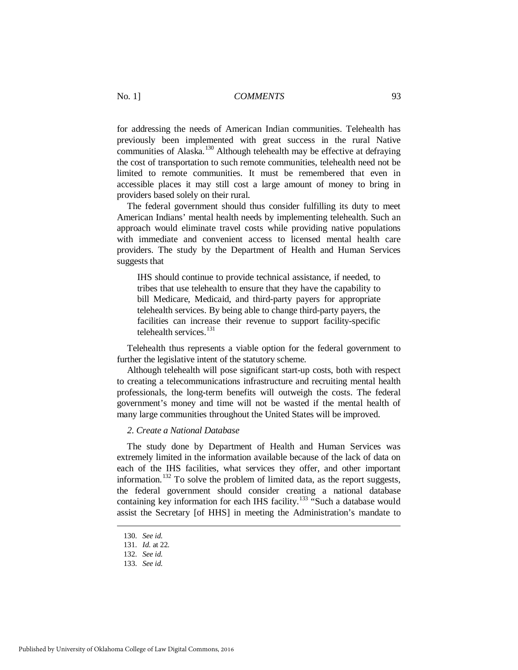for addressing the needs of American Indian communities. Telehealth has previously been implemented with great success in the rural Native communities of Alaska.<sup>[130](#page-23-0)</sup> Although telehealth may be effective at defraying the cost of transportation to such remote communities, telehealth need not be limited to remote communities. It must be remembered that even in accessible places it may still cost a large amount of money to bring in providers based solely on their rural.

The federal government should thus consider fulfilling its duty to meet American Indians' mental health needs by implementing telehealth. Such an approach would eliminate travel costs while providing native populations with immediate and convenient access to licensed mental health care providers. The study by the Department of Health and Human Services suggests that

IHS should continue to provide technical assistance, if needed, to tribes that use telehealth to ensure that they have the capability to bill Medicare, Medicaid, and third-party payers for appropriate telehealth services. By being able to change third-party payers, the facilities can increase their revenue to support facility-specific telehealth services.<sup>[131](#page-23-1)</sup>

Telehealth thus represents a viable option for the federal government to further the legislative intent of the statutory scheme.

Although telehealth will pose significant start-up costs, both with respect to creating a telecommunications infrastructure and recruiting mental health professionals, the long-term benefits will outweigh the costs. The federal government's money and time will not be wasted if the mental health of many large communities throughout the United States will be improved.

#### *2. Create a National Database*

The study done by Department of Health and Human Services was extremely limited in the information available because of the lack of data on each of the IHS facilities, what services they offer, and other important information.<sup>[132](#page-23-2)</sup> To solve the problem of limited data, as the report suggests, the federal government should consider creating a national database containing key information for each IHS facility.<sup>[133](#page-23-3)</sup> "Such a database would assist the Secretary [of HHS] in meeting the Administration's mandate to

 <sup>130.</sup> *See id.*

 <sup>131.</sup> *Id.* at 22.

<span id="page-23-3"></span><span id="page-23-2"></span><span id="page-23-1"></span><span id="page-23-0"></span> <sup>132.</sup> *See id.*

 <sup>133.</sup> *See id.*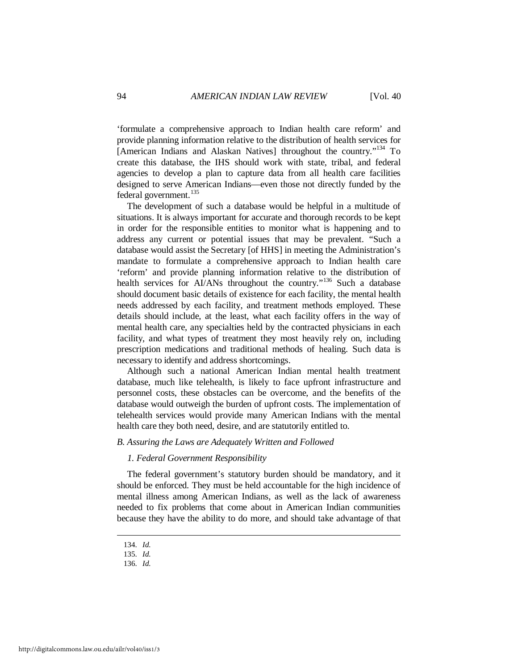'formulate a comprehensive approach to Indian health care reform' and provide planning information relative to the distribution of health services for [American Indians and Alaskan Natives] throughout the country."<sup>[134](#page-24-0)</sup> To create this database, the IHS should work with state, tribal, and federal agencies to develop a plan to capture data from all health care facilities designed to serve American Indians—even those not directly funded by the federal government.<sup>[135](#page-24-1)</sup>

The development of such a database would be helpful in a multitude of situations. It is always important for accurate and thorough records to be kept in order for the responsible entities to monitor what is happening and to address any current or potential issues that may be prevalent. "Such a database would assist the Secretary [of HHS] in meeting the Administration's mandate to formulate a comprehensive approach to Indian health care 'reform' and provide planning information relative to the distribution of health services for AI/ANs throughout the country."<sup>[136](#page-24-2)</sup> Such a database should document basic details of existence for each facility, the mental health needs addressed by each facility, and treatment methods employed. These details should include, at the least, what each facility offers in the way of mental health care, any specialties held by the contracted physicians in each facility, and what types of treatment they most heavily rely on, including prescription medications and traditional methods of healing. Such data is necessary to identify and address shortcomings.

Although such a national American Indian mental health treatment database, much like telehealth, is likely to face upfront infrastructure and personnel costs, these obstacles can be overcome, and the benefits of the database would outweigh the burden of upfront costs. The implementation of telehealth services would provide many American Indians with the mental health care they both need, desire, and are statutorily entitled to.

#### *B. Assuring the Laws are Adequately Written and Followed*

#### *1. Federal Government Responsibility*

The federal government's statutory burden should be mandatory, and it should be enforced. They must be held accountable for the high incidence of mental illness among American Indians, as well as the lack of awareness needed to fix problems that come about in American Indian communities because they have the ability to do more, and should take advantage of that

 <sup>134.</sup> *Id.*

<span id="page-24-2"></span><span id="page-24-1"></span><span id="page-24-0"></span> <sup>135.</sup> *Id.*

 <sup>136.</sup> *Id.*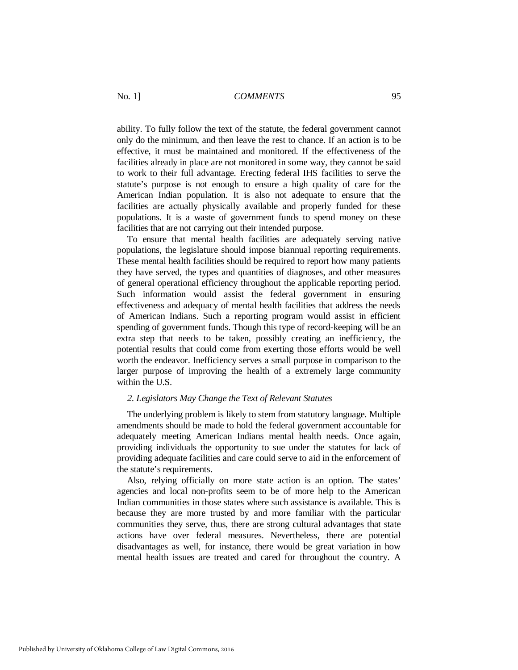ability. To fully follow the text of the statute, the federal government cannot only do the minimum, and then leave the rest to chance. If an action is to be effective, it must be maintained and monitored. If the effectiveness of the facilities already in place are not monitored in some way, they cannot be said to work to their full advantage. Erecting federal IHS facilities to serve the statute's purpose is not enough to ensure a high quality of care for the American Indian population. It is also not adequate to ensure that the facilities are actually physically available and properly funded for these populations. It is a waste of government funds to spend money on these facilities that are not carrying out their intended purpose.

To ensure that mental health facilities are adequately serving native populations, the legislature should impose biannual reporting requirements. These mental health facilities should be required to report how many patients they have served, the types and quantities of diagnoses, and other measures of general operational efficiency throughout the applicable reporting period. Such information would assist the federal government in ensuring effectiveness and adequacy of mental health facilities that address the needs of American Indians. Such a reporting program would assist in efficient spending of government funds. Though this type of record-keeping will be an extra step that needs to be taken, possibly creating an inefficiency, the potential results that could come from exerting those efforts would be well worth the endeavor. Inefficiency serves a small purpose in comparison to the larger purpose of improving the health of a extremely large community within the U.S.

#### *2. Legislators May Change the Text of Relevant Statutes*

The underlying problem is likely to stem from statutory language. Multiple amendments should be made to hold the federal government accountable for adequately meeting American Indians mental health needs. Once again, providing individuals the opportunity to sue under the statutes for lack of providing adequate facilities and care could serve to aid in the enforcement of the statute's requirements.

Also, relying officially on more state action is an option. The states' agencies and local non-profits seem to be of more help to the American Indian communities in those states where such assistance is available. This is because they are more trusted by and more familiar with the particular communities they serve, thus, there are strong cultural advantages that state actions have over federal measures. Nevertheless, there are potential disadvantages as well, for instance, there would be great variation in how mental health issues are treated and cared for throughout the country. A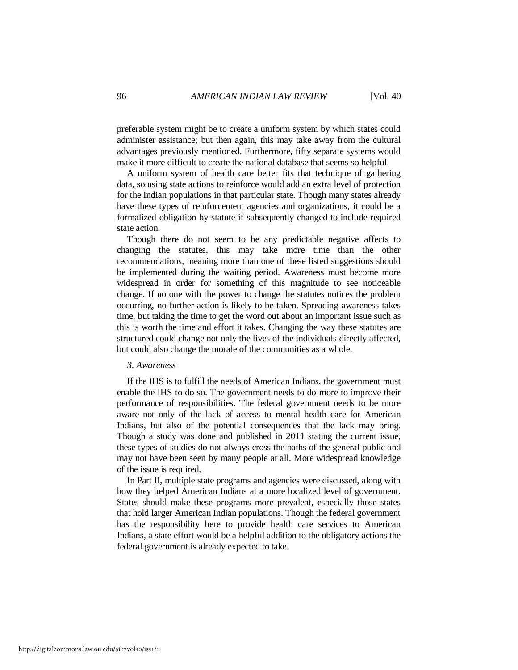preferable system might be to create a uniform system by which states could administer assistance; but then again, this may take away from the cultural advantages previously mentioned. Furthermore, fifty separate systems would make it more difficult to create the national database that seems so helpful.

A uniform system of health care better fits that technique of gathering data, so using state actions to reinforce would add an extra level of protection for the Indian populations in that particular state. Though many states already have these types of reinforcement agencies and organizations, it could be a formalized obligation by statute if subsequently changed to include required state action.

Though there do not seem to be any predictable negative affects to changing the statutes, this may take more time than the other recommendations, meaning more than one of these listed suggestions should be implemented during the waiting period. Awareness must become more widespread in order for something of this magnitude to see noticeable change. If no one with the power to change the statutes notices the problem occurring, no further action is likely to be taken. Spreading awareness takes time, but taking the time to get the word out about an important issue such as this is worth the time and effort it takes. Changing the way these statutes are structured could change not only the lives of the individuals directly affected, but could also change the morale of the communities as a whole.

#### *3. Awareness*

If the IHS is to fulfill the needs of American Indians, the government must enable the IHS to do so. The government needs to do more to improve their performance of responsibilities. The federal government needs to be more aware not only of the lack of access to mental health care for American Indians, but also of the potential consequences that the lack may bring. Though a study was done and published in 2011 stating the current issue, these types of studies do not always cross the paths of the general public and may not have been seen by many people at all. More widespread knowledge of the issue is required.

In Part II, multiple state programs and agencies were discussed, along with how they helped American Indians at a more localized level of government. States should make these programs more prevalent, especially those states that hold larger American Indian populations. Though the federal government has the responsibility here to provide health care services to American Indians, a state effort would be a helpful addition to the obligatory actions the federal government is already expected to take.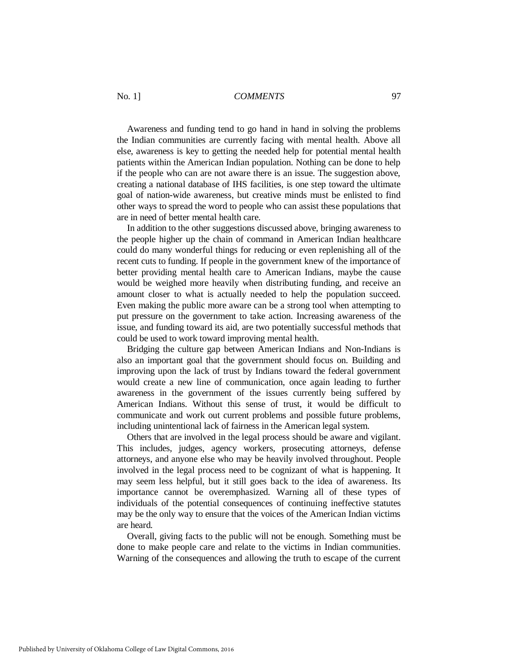Awareness and funding tend to go hand in hand in solving the problems the Indian communities are currently facing with mental health. Above all else, awareness is key to getting the needed help for potential mental health patients within the American Indian population. Nothing can be done to help if the people who can are not aware there is an issue. The suggestion above, creating a national database of IHS facilities, is one step toward the ultimate goal of nation-wide awareness, but creative minds must be enlisted to find other ways to spread the word to people who can assist these populations that are in need of better mental health care.

In addition to the other suggestions discussed above, bringing awareness to the people higher up the chain of command in American Indian healthcare could do many wonderful things for reducing or even replenishing all of the recent cuts to funding. If people in the government knew of the importance of better providing mental health care to American Indians, maybe the cause would be weighed more heavily when distributing funding, and receive an amount closer to what is actually needed to help the population succeed. Even making the public more aware can be a strong tool when attempting to put pressure on the government to take action. Increasing awareness of the issue, and funding toward its aid, are two potentially successful methods that could be used to work toward improving mental health.

Bridging the culture gap between American Indians and Non-Indians is also an important goal that the government should focus on. Building and improving upon the lack of trust by Indians toward the federal government would create a new line of communication, once again leading to further awareness in the government of the issues currently being suffered by American Indians. Without this sense of trust, it would be difficult to communicate and work out current problems and possible future problems, including unintentional lack of fairness in the American legal system.

Others that are involved in the legal process should be aware and vigilant. This includes, judges, agency workers, prosecuting attorneys, defense attorneys, and anyone else who may be heavily involved throughout. People involved in the legal process need to be cognizant of what is happening. It may seem less helpful, but it still goes back to the idea of awareness. Its importance cannot be overemphasized. Warning all of these types of individuals of the potential consequences of continuing ineffective statutes may be the only way to ensure that the voices of the American Indian victims are heard.

Overall, giving facts to the public will not be enough. Something must be done to make people care and relate to the victims in Indian communities. Warning of the consequences and allowing the truth to escape of the current